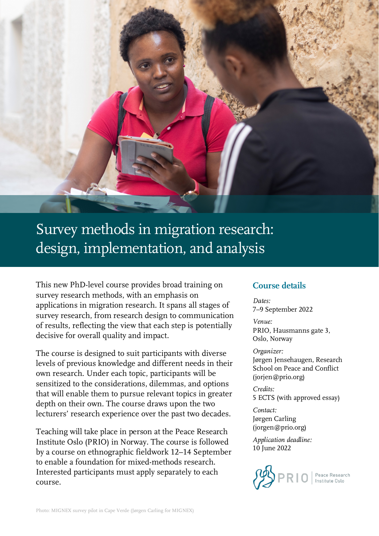

# Survey methods in migration research: design, implementation, and analysis

This new PhD-level course provides broad training on survey research methods, with an emphasis on applications in migration research. It spans all stages of survey research, from research design to communication of results, reflecting the view that each step is potentially decisive for overall quality and impact.

The course is designed to suit participants with diverse levels of previous knowledge and different needs in their own research. Under each topic, participants will be sensitized to the considerations, dilemmas, and options that will enable them to pursue relevant topics in greater depth on their own. The course draws upon the two lecturers' research experience over the past two decades.

Teaching will take place in person at the Peace Research Institute Oslo (PRIO) in Norway. The course is followed by a course on ethnographic fieldwork 12–14 September to enable a foundation for mixed-methods research. Interested participants must apply separately to each course.

## **Course details**

*Dates:*  7–9 September 2022

*Venue:* PRIO, Hausmanns gate 3, Oslo, Norway

*Organizer:*

Jørgen Jensehaugen, Research School on Peace and Conflict (jorjen@prio.org)

*Credits:* 5 ECTS (with approved essay)

*Contact:* Jørgen Carling (jorgen@prio.org)

*Application deadline:* 10 June 2022

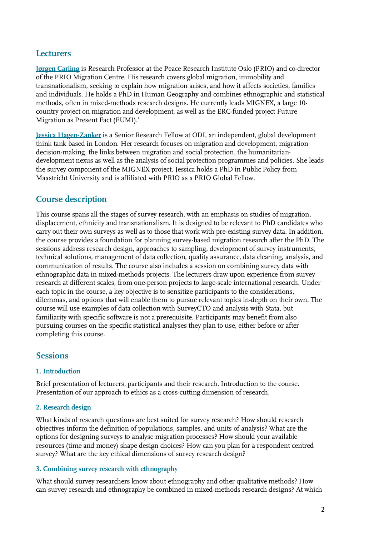# **Lecturers**

**[Jørgen Carling](https://prio.org/people/5122)** is Research Professor at the Peace Research Institute Oslo (PRIO) and co-director of the PRIO Migration Centre. His research covers global migration, immobility and transnationalism, seeking to explain how migration arises, and how it affects societies, families and individuals. He holds a PhD in Human Geography and combines ethnographic and statistical methods, often in mixed-methods research designs. He currently leads MIGNEX, a large 10 country project on migration and development, as well as the ERC-funded project Future Migration as Present Fact (FUMI).'

**[Jessica Hagen-Zanker](https://odi.org/en/profile/jessica-hagen-zanker/)** is a Senior Research Fellow at ODI, an independent, global development think tank based in London. Her research focuses on migration and development, migration decision-making, the links between migration and social protection, the humanitariandevelopment nexus as well as the analysis of social protection programmes and policies. She leads the survey component of the MIGNEX project. Jessica holds a PhD in Public Policy from Maastricht University and is affiliated with PRIO as a PRIO Global Fellow.

# **Course description**

This course spans all the stages of survey research, with an emphasis on studies of migration, displacement, ethnicity and transnationalism. It is designed to be relevant to PhD candidates who carry out their own surveys as well as to those that work with pre-existing survey data. In addition, the course provides a foundation for planning survey-based migration research after the PhD. The sessions address research design, approaches to sampling, development of survey instruments, technical solutions, management of data collection, quality assurance, data cleaning, analysis, and communication of results. The course also includes a session on combining survey data with ethnographic data in mixed-methods projects. The lecturers draw upon experience from survey research at different scales, from one-person projects to large-scale international research. Under each topic in the course, a key objective is to sensitize participants to the considerations, dilemmas, and options that will enable them to pursue relevant topics in-depth on their own. The course will use examples of data collection with SurveyCTO and analysis with Stata, but familiarity with specific software is not a prerequisite. Participants may benefit from also pursuing courses on the specific statistical analyses they plan to use, either before or after completing this course.

# **Sessions**

## **1. Introduction**

Brief presentation of lecturers, participants and their research. Introduction to the course. Presentation of our approach to ethics as a cross-cutting dimension of research.

## **2. Research design**

What kinds of research questions are best suited for survey research? How should research objectives inform the definition of populations, samples, and units of analysis? What are the options for designing surveys to analyse migration processes? How should your available resources (time and money) shape design choices? How can you plan for a respondent centred survey? What are the key ethical dimensions of survey research design?

## **3. Combining survey research with ethnography**

What should survey researchers know about ethnography and other qualitative methods? How can survey research and ethnography be combined in mixed-methods research designs? At which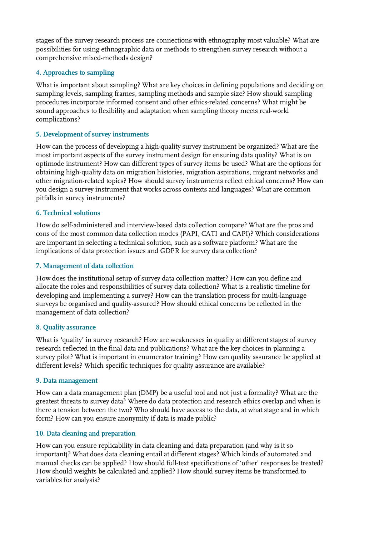stages of the survey research process are connections with ethnography most valuable? What are possibilities for using ethnographic data or methods to strengthen survey research without a comprehensive mixed-methods design?

## **4. Approaches to sampling**

What is important about sampling? What are key choices in defining populations and deciding on sampling levels, sampling frames, sampling methods and sample size? How should sampling procedures incorporate informed consent and other ethics-related concerns? What might be sound approaches to flexibility and adaptation when sampling theory meets real-world complications?

#### **5. Development of survey instruments**

How can the process of developing a high-quality survey instrument be organized? What are the most important aspects of the survey instrument design for ensuring data quality? What is on optimode instrument? How can different types of survey items be used? What are the options for obtaining high-quality data on migration histories, migration aspirations, migrant networks and other migration-related topics? How should survey instruments reflect ethical concerns? How can you design a survey instrument that works across contexts and languages? What are common pitfalls in survey instruments?

### **6. Technical solutions**

How do self-administered and interview-based data collection compare? What are the pros and cons of the most common data collection modes (PAPI, CATI and CAPI)? Which considerations are important in selecting a technical solution, such as a software platform? What are the implications of data protection issues and GDPR for survey data collection?

#### **7. Management of data collection**

How does the institutional setup of survey data collection matter? How can you define and allocate the roles and responsibilities of survey data collection? What is a realistic timeline for developing and implementing a survey? How can the translation process for multi-language surveys be organised and quality-assured? How should ethical concerns be reflected in the management of data collection?

#### **8. Quality assurance**

What is 'quality' in survey research? How are weaknesses in quality at different stages of survey research reflected in the final data and publications? What are the key choices in planning a survey pilot? What is important in enumerator training? How can quality assurance be applied at different levels? Which specific techniques for quality assurance are available?

#### **9. Data management**

How can a data management plan (DMP) be a useful tool and not just a formality? What are the greatest threats to survey data? Where do data protection and research ethics overlap and when is there a tension between the two? Who should have access to the data, at what stage and in which form? How can you ensure anonymity if data is made public?

#### **10. Data cleaning and preparation**

How can you ensure replicability in data cleaning and data preparation (and why is it so important)? What does data cleaning entail at different stages? Which kinds of automated and manual checks can be applied? How should full-text specifications of 'other' responses be treated? How should weights be calculated and applied? How should survey items be transformed to variables for analysis?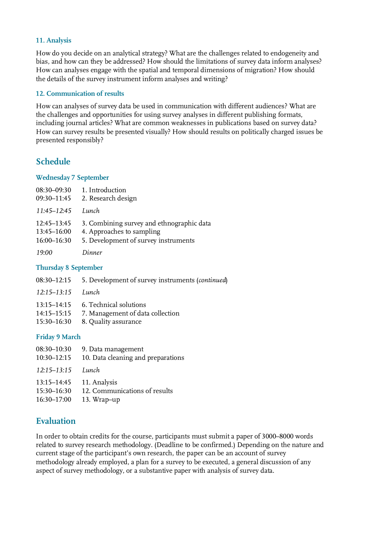## **11. Analysis**

How do you decide on an analytical strategy? What are the challenges related to endogeneity and bias, and how can they be addressed? How should the limitations of survey data inform analyses? How can analyses engage with the spatial and temporal dimensions of migration? How should the details of the survey instrument inform analyses and writing?

### **12. Communication of results**

How can analyses of survey data be used in communication with different audiences? What are the challenges and opportunities for using survey analyses in different publishing formats, including journal articles? What are common weaknesses in publications based on survey data? How can survey results be presented visually? How should results on politically charged issues be presented responsibly?

# **Schedule**

#### **Wednesday 7 September**

| 08:30-09:30     | 1. Introduction                           |
|-----------------|-------------------------------------------|
| 09:30-11:45     | 2. Research design                        |
| $11:45 - 12:45$ | Lunch                                     |
| $12:45 - 13:45$ | 3. Combining survey and ethnographic data |
| $13:45 - 16:00$ | 4. Approaches to sampling                 |
| $16:00 - 16:30$ | 5. Development of survey instruments      |
| 19:00           | Dinner                                    |

#### **Thursday 8 September**

- 08:30–12:15 5. Development of survey instruments (*continued*)
- *12:15–13:15 Lunch*
- 13:15–14:15 6. Technical solutions
- 14:15–15:15 7. Management of data collection
- 15:30–16:30 8. Quality assurance

#### **Friday 9 March**

| 08:30-10:30     | 9. Data management                 |
|-----------------|------------------------------------|
| 10:30-12:15     | 10. Data cleaning and preparations |
| $12:15 - 13:15$ | Lunch                              |
| 13:15–14:45     | 11. Analysis                       |
| 15:30-16:30     | 12. Communications of results      |
| 16:30-17:00     | 13. Wrap-up                        |

# **Evaluation**

In order to obtain credits for the course, participants must submit a paper of 3000–8000 words related to survey research methodology. (Deadline to be confirmed.) Depending on the nature and current stage of the participant's own research, the paper can be an account of survey methodology already employed, a plan for a survey to be executed, a general discussion of any aspect of survey methodology, or a substantive paper with analysis of survey data.